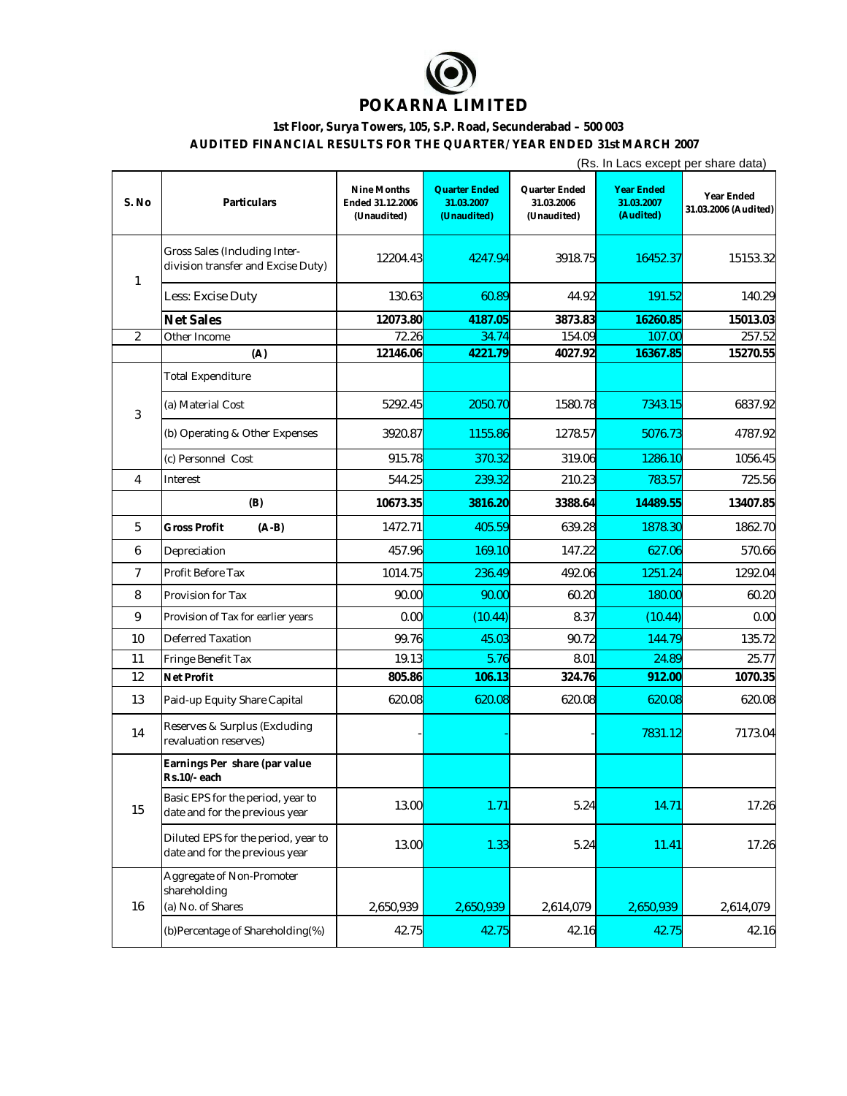

## **1st Floor, Surya Towers, 105, S.P. Road, Secunderabad – 500 003**

**AUDITED FINANCIAL RESULTS FOR THE QUARTER/ YEAR ENDED 31st MARCH 2007**

|                |                                                                       |                                                | (Rs. In Lacs except per share data)               |                                            |                                              |                                    |  |
|----------------|-----------------------------------------------------------------------|------------------------------------------------|---------------------------------------------------|--------------------------------------------|----------------------------------------------|------------------------------------|--|
| S. No          | Particulars                                                           | Nine Months<br>Ended 31.12.2006<br>(Unaudited) | <b>Quarter Ended</b><br>31.03.2007<br>(Unaudited) | Quarter Ended<br>31.03.2006<br>(Unaudited) | <b>Year Ended</b><br>31.03.2007<br>(Audited) | Year Ended<br>31.03.2006 (Audited) |  |
| 1              | Gross Sales (Including Inter-<br>division transfer and Excise Duty)   | 12204.43                                       | 4247.94                                           | 3918.75                                    | 16452.37                                     | 15153.32                           |  |
|                | Less: Excise Duty                                                     | 130.63                                         | 60.89                                             | 44.92                                      | 191.52                                       | 140.29                             |  |
|                | <b>Net Sales</b>                                                      | 12073.80                                       | 4187.05                                           | 3873.83                                    | 16260.85                                     | 15013.03                           |  |
| 2              | Other Income                                                          | 72.26                                          | 34.74                                             | 154.09                                     | 107.00                                       | 257.52                             |  |
|                | (A)                                                                   | 12146.06                                       | 4221.79                                           | 4027.92                                    | 16367.85                                     | 15270.55                           |  |
| 3              | <b>Total Expenditure</b>                                              |                                                |                                                   |                                            |                                              |                                    |  |
|                | (a) Material Cost                                                     | 5292.45                                        | 2050.70                                           | 1580.78                                    | 7343.15                                      | 6837.92                            |  |
|                | (b) Operating & Other Expenses                                        | 3920.87                                        | 1155.86                                           | 1278.57                                    | 5076.73                                      | 4787.92                            |  |
|                | (c) Personnel Cost                                                    | 915.78                                         | 370.32                                            | 319.06                                     | 1286.10                                      | 1056.45                            |  |
| 4              | Interest                                                              | 544.25                                         | 239.32                                            | 210.23                                     | 783.57                                       | 725.56                             |  |
|                | (B)                                                                   | 10673.35                                       | 3816.20                                           | 3388.64                                    | 14489.55                                     | 13407.85                           |  |
| 5              | <b>Gross Profit</b><br>$(A-B)$                                        | 1472.71                                        | 405.59                                            | 639.28                                     | 1878.30                                      | 1862.70                            |  |
| 6              | Depreciation                                                          | 457.96                                         | 169.10                                            | 147.22                                     | 627.06                                       | 570.66                             |  |
| $\overline{7}$ | Profit Before Tax                                                     | 1014.75                                        | 236.49                                            | 492.06                                     | 1251.24                                      | 1292.04                            |  |
| 8              | Provision for Tax                                                     | 90.00                                          | 90.00                                             | 60.20                                      | 180.00                                       | 60.20                              |  |
| 9              | Provision of Tax for earlier years                                    | 0.00                                           | (10.44)                                           | 8.37                                       | (10.44)                                      | 0.00                               |  |
| 10             | <b>Deferred Taxation</b>                                              | 99.76                                          | 45.03                                             | 90.72                                      | 144.79                                       | 135.72                             |  |
| 11             | Fringe Benefit Tax                                                    | 19.13                                          | 5.76                                              | 8.01                                       | 24.89                                        | 25.77                              |  |
| 12             | Net Profit                                                            | 805.86                                         | 106.13                                            | 324.76                                     | 912.00                                       | 1070.35                            |  |
| 13             | Paid-up Equity Share Capital                                          | 620.08                                         | 620.08                                            | 620.08                                     | 620.08                                       | 620.08                             |  |
| 14             | Reserves & Surplus (Excluding<br>revaluation reserves)                |                                                |                                                   |                                            | 7831.12                                      | 7173.04                            |  |
| 15             | Earnings Per share (par value<br>Rs.10/-each                          |                                                |                                                   |                                            |                                              |                                    |  |
|                | Basic EPS for the period, year to<br>date and for the previous year   | 13.00                                          | 1.71                                              | 5.24                                       | 14.71                                        | 17.26                              |  |
|                | Diluted EPS for the period, year to<br>date and for the previous year | 13.00                                          | 1.33                                              | 5.24                                       | 11.41                                        | 17.26                              |  |
| 16             | Aggregate of Non-Promoter<br>shareholding<br>(a) No. of Shares        | 2,650,939                                      | 2,650,939                                         | 2,614,079                                  | 2,650,939                                    | 2,614,079                          |  |
|                |                                                                       |                                                |                                                   |                                            |                                              |                                    |  |
|                | (b) Percentage of Shareholding(%)                                     | 42.75                                          | 42.75                                             | 42.16                                      | 42.75                                        | 42.16                              |  |